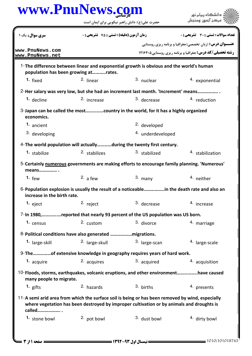## كارشناسي **[www.PnuNews.com](http://www.PnuNews.com)**

ے<br>کا اللہ کا استگاہ پیام نور<br>کا اللہ میکز آزمون وسنجش

| <b>سری سوال :</b> یک ۱                                                                                                                                                                                  | <b>زمان آزمون (دقیقه) : تستی : 75 ٪ تشریحی : 0</b> |                         | <b>تعداد سوالات : تستی : 30 ٪ تشریحی : 0</b>                    |
|---------------------------------------------------------------------------------------------------------------------------------------------------------------------------------------------------------|----------------------------------------------------|-------------------------|-----------------------------------------------------------------|
|                                                                                                                                                                                                         |                                                    |                         | <b>عنـــوان درس:</b> (زبان تخصصی(جغرافیا و برنامه ریزی روستایی  |
| www.PnuNews.com<br>www.PnuNews.net                                                                                                                                                                      |                                                    |                         | <b>رشته تحصیلی/کد درس: جغرافیا و برنامه ریزی روستایی 121640</b> |
| 1-The difference between linear and exponential growth is obvious and the world's human<br>population has been growing atrates.                                                                         |                                                    |                         |                                                                 |
| 1. fixed                                                                                                                                                                                                | 2. linear                                          | 3. nuclear              | 4. exponential                                                  |
| 2-Her salary was very low, but she had an increment last month. 'Increment' means                                                                                                                       |                                                    |                         |                                                                 |
| 1. decline                                                                                                                                                                                              | 2. increase                                        | 3. decrease             | 4. reduction                                                    |
| 3-Japan can be called the mostcountry in the world, for it has a highly organized<br>economics.                                                                                                         |                                                    |                         |                                                                 |
| 1. ancient                                                                                                                                                                                              |                                                    | <sup>2.</sup> developed |                                                                 |
| 3. developing                                                                                                                                                                                           |                                                    | 4. underdeveloped       |                                                                 |
| 4- The world population will actuallyduring the twenty first century.                                                                                                                                   |                                                    |                         |                                                                 |
| <sup>1.</sup> stabilize                                                                                                                                                                                 | 2. stabilizes                                      | 3. stabilized           | 4. stabilization                                                |
| 5-Certainly numerous governments are making efforts to encourage family planning. 'Numerous'<br>means                                                                                                   |                                                    |                         |                                                                 |
| 1. $few$                                                                                                                                                                                                | 2. a few                                           | $3.$ many               | <sup>4.</sup> neither                                           |
| 6-Population explosion is usually the result of a noticeablein the death rate and also an<br>increase in the birth rate.                                                                                |                                                    |                         |                                                                 |
| 1. $e$ ject                                                                                                                                                                                             | 2. reject                                          | 3. decrease             | 4. increase                                                     |
| 7-In 1980,reported that nearly 93 percent of the US population was US born.                                                                                                                             |                                                    |                         |                                                                 |
| 1. census                                                                                                                                                                                               | 2. custom                                          | 3. divorce              | 4. marriage                                                     |
|                                                                                                                                                                                                         |                                                    |                         |                                                                 |
| 1. large-skill                                                                                                                                                                                          | <sup>2.</sup> large-skull                          | 3. large-scan           | 4. large-scale                                                  |
| 9-Theof extensive knowledge in geography requires years of hard work.                                                                                                                                   |                                                    |                         |                                                                 |
| 1. acquire                                                                                                                                                                                              | 2. acquires                                        | 3. acquired             | 4. acquisition                                                  |
| 10-Floods, storms, earthquakes, volcanic eruptions, and other environmenthave caused<br>many people to migrate.                                                                                         |                                                    |                         |                                                                 |
| 1. gifts                                                                                                                                                                                                | 2. hazards                                         | 3. births               | 4. presents                                                     |
| 11-A semi arid area from which the surface soil is being or has been removed by wind, especially<br>where vegetation has been destroyed by improper cultivation or by animals and droughts is<br>called |                                                    |                         |                                                                 |
| 1. stone bowl                                                                                                                                                                                           | <sup>2</sup> pot bowl                              | 3. dust bowl            | <sup>4.</sup> dirty bowl                                        |

حضرت علي(ع): دانش راهبر نيكويي براي ايمان است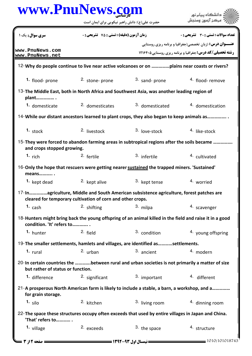|                                    |                                                            | www.PnuNews.com<br>حضرت علی(ع): دانش راهبر نیکویی برای ایمان است                                        |                                                                                                                                    |
|------------------------------------|------------------------------------------------------------|---------------------------------------------------------------------------------------------------------|------------------------------------------------------------------------------------------------------------------------------------|
|                                    |                                                            |                                                                                                         |                                                                                                                                    |
| <b>سری سوال :</b> یک ۱             | <b>زمان آزمون (دقیقه) : تستی : 75 ٪ تشریحی : 0</b>         |                                                                                                         | <b>تعداد سوالات : تستی : 30 ٪ تشریحی : 0</b>                                                                                       |
| www.PnuNews.com<br>www.PnuNews.net |                                                            |                                                                                                         | <b>عنـــوان درس:</b> (زبان تخصصي(جغرافيا و برنامه ريزي روستايي<br><b>رشته تحصیلی/کد درس:</b> جغرافیا و برنامه ریزی روستایی ۱۲۱۶۴۰۵ |
|                                    |                                                            |                                                                                                         |                                                                                                                                    |
| 1. flood- prone                    | 2. stone-prone                                             | 3. sand-prone                                                                                           | <sup>4.</sup> flood-remove                                                                                                         |
| plant                              |                                                            | 13-The Middle East, both in North Africa and Southwest Asia, was another leading region of              |                                                                                                                                    |
| 1. domesticate                     | 2. domesticates                                            | 3. domesticated                                                                                         | 4. domestication                                                                                                                   |
|                                    |                                                            | 14-While our distant ancestors learned to plant crops, they also began to keep animals as               |                                                                                                                                    |
| 1. stock                           | <sup>2.</sup> livestock                                    | 3. love-stock                                                                                           | <sup>4</sup> like-stock                                                                                                            |
| and crops stopped growing.         |                                                            | 15-They were forced to abandon farming areas in subtropical regions after the soils became              |                                                                                                                                    |
| 1. $rich$                          | 2. fertile                                                 | 3. infertile                                                                                            | 4. cultivated                                                                                                                      |
| means .                            |                                                            | 16-Only the hope that rescuers were getting nearer sustained the trapped miners. 'Sustained'            |                                                                                                                                    |
| <sup>1.</sup> kept dead            | <sup>2.</sup> kept alive                                   | 3. kept tense                                                                                           | 4. worried                                                                                                                         |
|                                    | cleared for temporary cultivation of corn and other crops. | 17-Inagriculture, Middle and South American subsistence agriculture, forest patches are                 |                                                                                                                                    |
| 1. $cash$                          | $2.$ shifting                                              | 3. milpa                                                                                                | 4. scavenger                                                                                                                       |
| condition. 'It' refers to          |                                                            | 18-Hunters might bring back the young offspring of an animal killed in the field and raise it in a good |                                                                                                                                    |
| 1. hunter                          | 2. field                                                   | 3. condition                                                                                            | 4. young offspring                                                                                                                 |
|                                    |                                                            | 19-The smaller settlements, hamlets and villages, are identified assettlements.                         |                                                                                                                                    |
| $1.$ rural                         | 2. urban                                                   | 3. ancient                                                                                              | 4. modern                                                                                                                          |
| but rather of status or function.  |                                                            | 20-In certain countries the between rural and urban societies is not primarily a matter of size         |                                                                                                                                    |
| <sup>1.</sup> difference           | 2. significant                                             | 3. important                                                                                            | <sup>4</sup> different                                                                                                             |
| for grain storage.                 |                                                            | 21-A prosperous North American farm is likely to include a stable, a barn, a workshop, and a            |                                                                                                                                    |
| $1. \text{ silo}$                  | <sup>2.</sup> kitchen                                      | 3. living room                                                                                          | 4. dinning room                                                                                                                    |
| 'That' refers to                   |                                                            | 22- The space these structures occupy often exceeds that used by entire villages in Japan and China.    |                                                                                                                                    |
| 1. village                         | 2. exceeds                                                 | 3. the space                                                                                            | 4. structure                                                                                                                       |
| <b>صفحه 12ز 3 ـــ</b>              |                                                            |                                                                                                         | 1010/101018743                                                                                                                     |